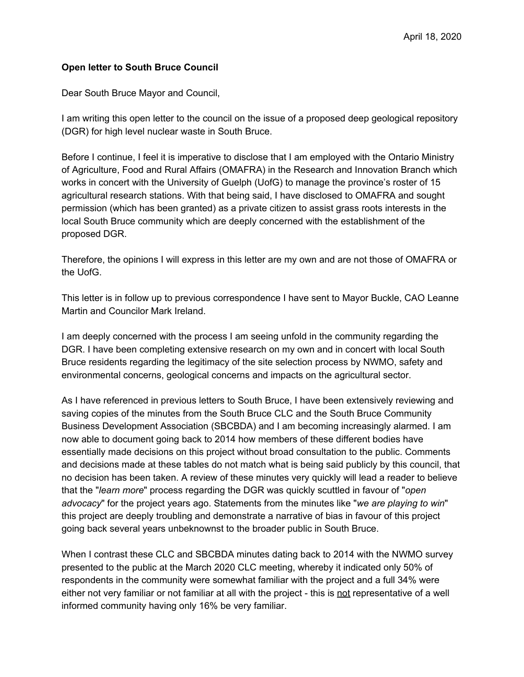## **Open letter to South Bruce Council**

Dear South Bruce Mayor and Council,

I am writing this open letter to the council on the issue of a proposed deep geological repository (DGR) for high level nuclear waste in South Bruce.

Before I continue, I feel it is imperative to disclose that I am employed with the Ontario Ministry of Agriculture, Food and Rural Affairs (OMAFRA) in the Research and Innovation Branch which works in concert with the University of Guelph (UofG) to manage the province's roster of 15 agricultural research stations. With that being said, I have disclosed to OMAFRA and sought permission (which has been granted) as a private citizen to assist grass roots interests in the local South Bruce community which are deeply concerned with the establishment of the proposed DGR.

Therefore, the opinions I will express in this letter are my own and are not those of OMAFRA or the UofG.

This letter is in follow up to previous correspondence I have sent to Mayor Buckle, CAO Leanne Martin and Councilor Mark Ireland.

I am deeply concerned with the process I am seeing unfold in the community regarding the DGR. I have been completing extensive research on my own and in concert with local South Bruce residents regarding the legitimacy of the site selection process by NWMO, safety and environmental concerns, geological concerns and impacts on the agricultural sector.

As I have referenced in previous letters to South Bruce, I have been extensively reviewing and saving copies of the minutes from the South Bruce CLC and the South Bruce Community Business Development Association (SBCBDA) and I am becoming increasingly alarmed. I am now able to document going back to 2014 how members of these different bodies have essentially made decisions on this project without broad consultation to the public. Comments and decisions made at these tables do not match what is being said publicly by this council, that no decision has been taken. A review of these minutes very quickly will lead a reader to believe that the "*learn more*" process regarding the DGR was quickly scuttled in favour of "*open advocacy*" for the project years ago. Statements from the minutes like "*we are playing to win*" this project are deeply troubling and demonstrate a narrative of bias in favour of this project going back several years unbeknownst to the broader public in South Bruce.

When I contrast these CLC and SBCBDA minutes dating back to 2014 with the NWMO survey presented to the public at the March 2020 CLC meeting, whereby it indicated only 50% of respondents in the community were somewhat familiar with the project and a full 34% were either not very familiar or not familiar at all with the project - this is not representative of a well informed community having only 16% be very familiar.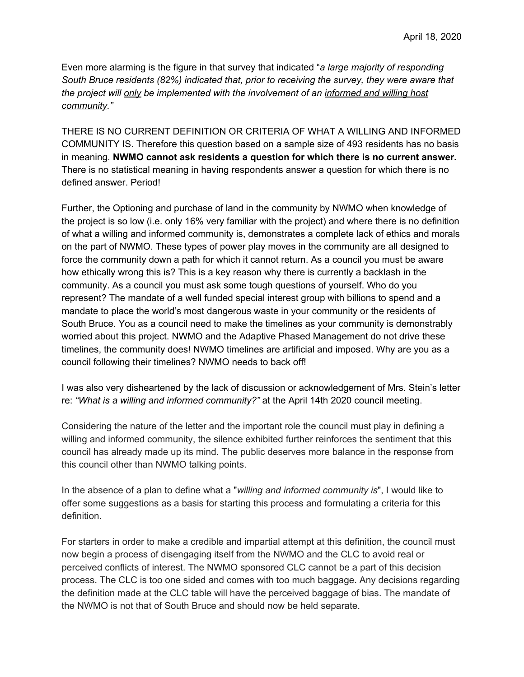Even more alarming is the figure in that survey that indicated "*a large majority of responding South Bruce residents (82%) indicated that, prior to receiving the survey, they were aware that the project will only be implemented with the involvement of an informed and willing host community."*

THERE IS NO CURRENT DEFINITION OR CRITERIA OF WHAT A WILLING AND INFORMED COMMUNITY IS. Therefore this question based on a sample size of 493 residents has no basis in meaning. **NWMO cannot ask residents a question for which there is no current answer.** There is no statistical meaning in having respondents answer a question for which there is no defined answer. Period!

Further, the Optioning and purchase of land in the community by NWMO when knowledge of the project is so low (i.e. only 16% very familiar with the project) and where there is no definition of what a willing and informed community is, demonstrates a complete lack of ethics and morals on the part of NWMO. These types of power play moves in the community are all designed to force the community down a path for which it cannot return. As a council you must be aware how ethically wrong this is? This is a key reason why there is currently a backlash in the community. As a council you must ask some tough questions of yourself. Who do you represent? The mandate of a well funded special interest group with billions to spend and a mandate to place the world's most dangerous waste in your community or the residents of South Bruce. You as a council need to make the timelines as your community is demonstrably worried about this project. NWMO and the Adaptive Phased Management do not drive these timelines, the community does! NWMO timelines are artificial and imposed. Why are you as a council following their timelines? NWMO needs to back off!

I was also very disheartened by the lack of discussion or acknowledgement of Mrs. Stein's letter re: *"What is a willing and informed community?"* at the April 14th 2020 council meeting.

Considering the nature of the letter and the important role the council must play in defining a willing and informed community, the silence exhibited further reinforces the sentiment that this council has already made up its mind. The public deserves more balance in the response from this council other than NWMO talking points.

In the absence of a plan to define what a "*willing and informed community is*", I would like to offer some suggestions as a basis for starting this process and formulating a criteria for this definition.

For starters in order to make a credible and impartial attempt at this definition, the council must now begin a process of disengaging itself from the NWMO and the CLC to avoid real or perceived conflicts of interest. The NWMO sponsored CLC cannot be a part of this decision process. The CLC is too one sided and comes with too much baggage. Any decisions regarding the definition made at the CLC table will have the perceived baggage of bias. The mandate of the NWMO is not that of South Bruce and should now be held separate.